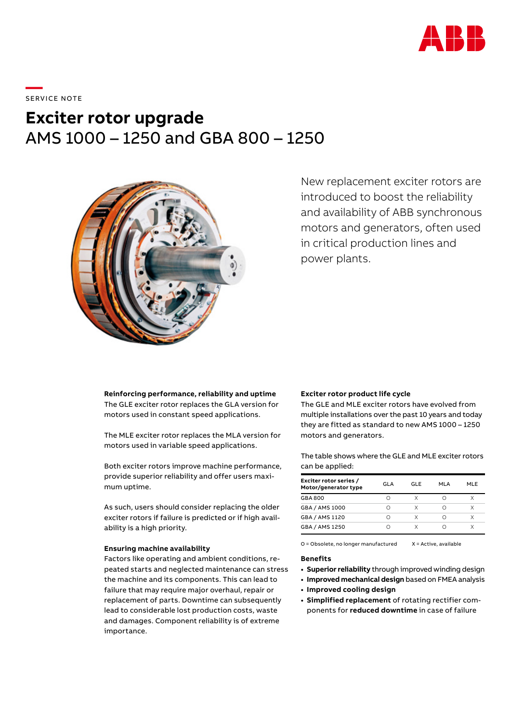

\_\_\_\_\_<br>SERVICE NOTE

# **Exciter rotor upgrade** AMS 1000 – 1250 and GBA 800 – 1250



New replacement exciter rotors are introduced to boost the reliability and availability of ABB synchronous motors and generators, often used in critical production lines and power plants.

**Reinforcing performance, reliability and uptime** The GLE exciter rotor replaces the GLA version for motors used in constant speed applications.

The MLE exciter rotor replaces the MLA version for motors used in variable speed applications.

Both exciter rotors improve machine performance, provide superior reliability and offer users maximum uptime.

As such, users should consider replacing the older exciter rotors if failure is predicted or if high availability is a high priority.

## **Ensuring machine availability**

Factors like operating and ambient conditions, repeated starts and neglected maintenance can stress the machine and its components. This can lead to failure that may require major overhaul, repair or replacement of parts. Downtime can subsequently lead to considerable lost production costs, waste and damages. Component reliability is of extreme importance.

#### **Exciter rotor product life cycle**

The GLE and MLE exciter rotors have evolved from multiple installations over the past 10 years and today they are fitted as standard to new AMS 1000 – 1250 motors and generators.

The table shows where the GLE and MLE exciter rotors can be applied:

| Exciter rotor series /<br>Motor/generator type | GI A | GL F | MI A | MI F |
|------------------------------------------------|------|------|------|------|
| GBA 800                                        |      |      |      |      |
| GBA / AMS 1000                                 |      | X    |      | x    |
| GBA / AMS 1120                                 | ∩    | Χ    | ∩    |      |
| GBA / AMS 1250                                 |      |      |      |      |

O = Obsolete, no longer manufactured X = Active, available

#### **Benefits**

- **• Superior reliability** through improved winding design
- **• Improved mechanical design** based on FMEA analysis
- **• Improved cooling design**
- **• Simplified replacement** of rotating rectifier components for **reduced downtime** in case of failure